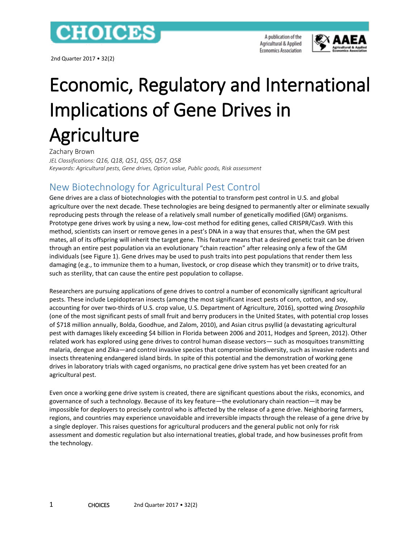

2nd Quarter 2017 • 32(2)

A publication of the Agricultural & Applied **Economics Association** 



# Economic, Regulatory and International Implications of Gene Drives in **Agriculture**

Zachary Brown *JEL Classifications: Q16, Q18, Q51, Q55, Q57, Q58 Keywords: Agricultural pests, Gene drives, Option value, Public goods, Risk assessment*

# New Biotechnology for Agricultural Pest Control

Gene drives are a class of biotechnologies with the potential to transform pest control in U.S. and global agriculture over the next decade. These technologies are being designed to permanently alter or eliminate sexually reproducing pests through the release of a relatively small number of genetically modified (GM) organisms. Prototype gene drives work by using a new, low-cost method for editing genes, called CRISPR/Cas9. With this method, scientists can insert or remove genes in a pest's DNA in a way that ensures that, when the GM pest mates, all of its offspring will inherit the target gene. This feature means that a desired genetic trait can be driven through an entire pest population via an evolutionary "chain reaction" after releasing only a few of the GM individuals (see Figure 1). Gene drives may be used to push traits into pest populations that render them less damaging (e.g., to immunize them to a human, livestock, or crop disease which they transmit) or to drive traits, such as sterility, that can cause the entire pest population to collapse.

Researchers are pursuing applications of gene drives to control a number of economically significant agricultural pests. These include Lepidopteran insects (among the most significant insect pests of corn, cotton, and soy, accounting for over two-thirds of U.S. crop value, U.S. Department of Agriculture, 2016), spotted wing *Drosophila* (one of the most significant pests of small fruit and berry producers in the United States, with potential crop losses of \$718 million annually, Bolda, Goodhue, and Zalom, 2010), and Asian citrus psyllid (a devastating agricultural pest with damages likely exceeding \$4 billion in Florida between 2006 and 2011, Hodges and Spreen, 2012). Other related work has explored using gene drives to control human disease vectors— such as mosquitoes transmitting malaria, dengue and Zika—and control invasive species that compromise biodiversity, such as invasive rodents and insects threatening endangered island birds. In spite of this potential and the demonstration of working gene drives in laboratory trials with caged organisms, no practical gene drive system has yet been created for an agricultural pest.

Even once a working gene drive system is created, there are significant questions about the risks, economics, and governance of such a technology. Because of its key feature—the evolutionary chain reaction—it may be impossible for deployers to precisely control who is affected by the release of a gene drive. Neighboring farmers, regions, and countries may experience unavoidable and irreversible impacts through the release of a gene drive by a single deployer. This raises questions for agricultural producers and the general public not only for risk assessment and domestic regulation but also international treaties, global trade, and how businesses profit from the technology.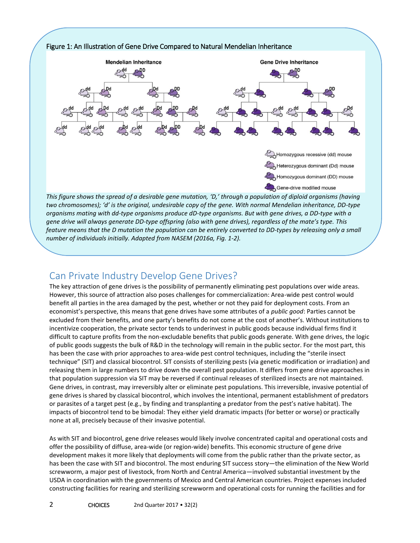

*organisms mating with dd-type organisms produce dD-type organisms. But with gene drives, a DD-type with a gene drive will always generate DD-type offspring (also with gene drives), regardless of the mate's type. This feature means that the D mutation the population can be entirely converted to DD-types by releasing only a small number of individuals initially. Adapted from NASEM (2016a, Fig. 1-2).*

# Can Private Industry Develop Gene Drives?

The key attraction of gene drives is the possibility of permanently eliminating pest populations over wide areas. However, this source of attraction also poses challenges for commercialization: Area-wide pest control would benefit all parties in the area damaged by the pest, whether or not they paid for deployment costs. From an economist's perspective, this means that gene drives have some attributes of a *public good*: Parties cannot be excluded from their benefits, and one party's benefits do not come at the cost of another's. Without institutions to incentivize cooperation, the private sector tends to underinvest in public goods because individual firms find it difficult to capture profits from the non-excludable benefits that public goods generate. With gene drives, the logic of public goods suggests the bulk of R&D in the technology will remain in the public sector. For the most part, this has been the case with prior approaches to area-wide pest control techniques, including the "sterile insect technique" (SIT) and classical biocontrol. SIT consists of sterilizing pests (via genetic modification or irradiation) and releasing them in large numbers to drive down the overall pest population. It differs from gene drive approaches in that population suppression via SIT may be reversed if continual releases of sterilized insects are not maintained. Gene drives, in contrast, may irreversibly alter or eliminate pest populations. This irreversible, invasive potential of gene drives is shared by classical biocontrol, which involves the intentional, permanent establishment of predators or parasites of a target pest (e.g., by finding and transplanting a predator from the pest's native habitat). The impacts of biocontrol tend to be bimodal: They either yield dramatic impacts (for better or worse) or practically none at all, precisely because of their invasive potential.

As with SIT and biocontrol, gene drive releases would likely involve concentrated capital and operational costs and offer the possibility of diffuse, area-wide (or region-wide) benefits. This economic structure of gene drive development makes it more likely that deployments will come from the public rather than the private sector, as has been the case with SIT and biocontrol. The most enduring SIT success story—the elimination of the New World screwworm, a major pest of livestock, from North and Central America—involved substantial investment by the USDA in coordination with the governments of Mexico and Central American countries. Project expenses included constructing facilities for rearing and sterilizing screwworm and operational costs for running the facilities and for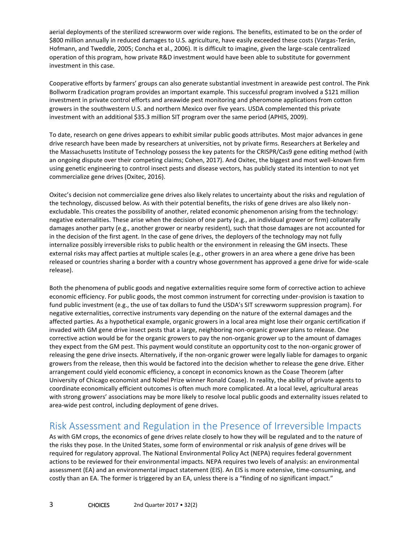aerial deployments of the sterilized screwworm over wide regions. The benefits, estimated to be on the order of \$800 million annually in reduced damages to U.S. agriculture, have easily exceeded these costs (Vargas-Terán, Hofmann, and Tweddle, 2005; Concha et al., 2006). It is difficult to imagine, given the large-scale centralized operation of this program, how private R&D investment would have been able to substitute for government investment in this case.

Cooperative efforts by farmers' groups can also generate substantial investment in areawide pest control. The Pink Bollworm Eradication program provides an important example. This successful program involved a \$121 million investment in private control efforts and areawide pest monitoring and pheromone applications from cotton growers in the southwestern U.S. and northern Mexico over five years. USDA complemented this private investment with an additional \$35.3 million SIT program over the same period (APHIS, 2009).

To date, research on gene drives appears to exhibit similar public goods attributes. Most major advances in gene drive research have been made by researchers at universities, not by private firms. Researchers at Berkeley and the Massachusetts Institute of Technology possess the key patents for the CRISPR/Cas9 gene editing method (with an ongoing dispute over their competing claims; Cohen, 2017). And Oxitec, the biggest and most well-known firm using genetic engineering to control insect pests and disease vectors, has publicly stated its intention to not yet commercialize gene drives (Oxitec, 2016).

Oxitec's decision not commercialize gene drives also likely relates to uncertainty about the risks and regulation of the technology, discussed below. As with their potential benefits, the risks of gene drives are also likely nonexcludable. This creates the possibility of another, related economic phenomenon arising from the technology: negative externalities. These arise when the decision of one party (e.g., an individual grower or firm) collaterally damages another party (e.g., another grower or nearby resident), such that those damages are not accounted for in the decision of the first agent. In the case of gene drives, the deployers of the technology may not fully internalize possibly irreversible risks to public health or the environment in releasing the GM insects. These external risks may affect parties at multiple scales (e.g., other growers in an area where a gene drive has been released or countries sharing a border with a country whose government has approved a gene drive for wide-scale release).

Both the phenomena of public goods and negative externalities require some form of corrective action to achieve economic efficiency. For public goods, the most common instrument for correcting under-provision is taxation to fund public investment (e.g., the use of tax dollars to fund the USDA's SIT screwworm suppression program). For negative externalities, corrective instruments vary depending on the nature of the external damages and the affected parties. As a hypothetical example, organic growers in a local area might lose their organic certification if invaded with GM gene drive insect pests that a large, neighboring non-organic grower plans to release. One corrective action would be for the organic growers to pay the non-organic grower up to the amount of damages they expect from the GM pest. This payment would constitute an opportunity cost to the non-organic grower of releasing the gene drive insects. Alternatively, if the non-organic grower were legally liable for damages to organic growers from the release, then this would be factored into the decision whether to release the gene drive. Either arrangement could yield economic efficiency, a concept in economics known as the Coase Theorem (after University of Chicago economist and Nobel Prize winner Ronald Coase). In reality, the ability of private agents to coordinate economically efficient outcomes is often much more complicated. At a local level, agricultural areas with strong growers' associations may be more likely to resolve local public goods and externality issues related to area-wide pest control, including deployment of gene drives.

## Risk Assessment and Regulation in the Presence of Irreversible Impacts

As with GM crops, the economics of gene drives relate closely to how they will be regulated and to the nature of the risks they pose. In the United States, some form of environmental or risk analysis of gene drives will be required for regulatory approval. The National Environmental Policy Act (NEPA) requires federal government actions to be reviewed for their environmental impacts. NEPA requires two levels of analysis: an environmental assessment (EA) and an environmental impact statement (EIS). An EIS is more extensive, time-consuming, and costly than an EA. The former is triggered by an EA, unless there is a "finding of no significant impact."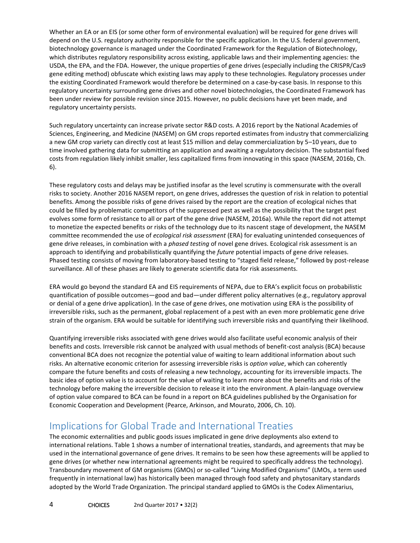Whether an EA or an EIS (or some other form of environmental evaluation) will be required for gene drives will depend on the U.S. regulatory authority responsible for the specific application. In the U.S. federal government, biotechnology governance is managed under the Coordinated Framework for the Regulation of Biotechnology, which distributes regulatory responsibility across existing, applicable laws and their implementing agencies: the USDA, the EPA, and the FDA. However, the unique properties of gene drives (especially including the CRISPR/Cas9 gene editing method) obfuscate which existing laws may apply to these technologies. Regulatory processes under the existing Coordinated Framework would therefore be determined on a case-by-case basis. In response to this regulatory uncertainty surrounding gene drives and other novel biotechnologies, the Coordinated Framework has been under review for possible revision since 2015. However, no public decisions have yet been made, and regulatory uncertainty persists.

Such regulatory uncertainty can increase private sector R&D costs. A 2016 report by the National Academies of Sciences, Engineering, and Medicine (NASEM) on GM crops reported estimates from industry that commercializing a new GM crop variety can directly cost at least \$15 million and delay commercialization by 5–10 years, due to time involved gathering data for submitting an application and awaiting a regulatory decision. The substantial fixed costs from regulation likely inhibit smaller, less capitalized firms from innovating in this space (NASEM, 2016b, Ch. 6).

These regulatory costs and delays may be justified insofar as the level scrutiny is commensurate with the overall risks to society. Another 2016 NASEM report, on gene drives, addresses the question of risk in relation to potential benefits. Among the possible risks of gene drives raised by the report are the creation of ecological niches that could be filled by problematic competitors of the suppressed pest as well as the possibility that the target pest evolves some form of resistance to all or part of the gene drive (NASEM, 2016a). While the report did not attempt to monetize the expected benefits or risks of the technology due to its nascent stage of development, the NASEM committee recommended the use of *ecological risk assessment* (ERA) for evaluating unintended consequences of gene drive releases, in combination with a *phased testing* of novel gene drives. Ecological risk assessment is an approach to identifying and probabilistically quantifying the *future* potential impacts of gene drive releases. Phased testing consists of moving from laboratory-based testing to "staged field release," followed by post-release surveillance. All of these phases are likely to generate scientific data for risk assessments.

ERA would go beyond the standard EA and EIS requirements of NEPA, due to ERA's explicit focus on probabilistic quantification of possible outcomes—good and bad—under different policy alternatives (e.g., regulatory approval or denial of a gene drive application). In the case of gene drives, one motivation using ERA is the possibility of irreversible risks, such as the permanent, global replacement of a pest with an even more problematic gene drive strain of the organism. ERA would be suitable for identifying such irreversible risks and quantifying their likelihood.

Quantifying irreversible risks associated with gene drives would also facilitate useful economic analysis of their benefits and costs. Irreversible risk cannot be analyzed with usual methods of benefit-cost analysis (BCA) because conventional BCA does not recognize the potential value of waiting to learn additional information about such risks. An alternative economic criterion for assessing irreversible risks is *option value*, which can coherently compare the future benefits and costs of releasing a new technology, accounting for its irreversible impacts. The basic idea of option value is to account for the value of waiting to learn more about the benefits and risks of the technology before making the irreversible decision to release it into the environment. A plain-language overview of option value compared to BCA can be found in a report on BCA guidelines published by the Organisation for Economic Cooperation and Development (Pearce, Arkinson, and Mourato, 2006, Ch. 10).

## Implications for Global Trade and International Treaties

The economic externalities and public goods issues implicated in gene drive deployments also extend to international relations. Table 1 shows a number of international treaties, standards, and agreements that may be used in the international governance of gene drives. It remains to be seen how these agreements will be applied to gene drives (or whether new international agreements might be required to specifically address the technology). Transboundary movement of GM organisms (GMOs) or so-called "Living Modified Organisms" (LMOs, a term used frequently in international law) has historically been managed through food safety and phytosanitary standards adopted by the World Trade Organization. The principal standard applied to GMOs is the Codex Alimentarius,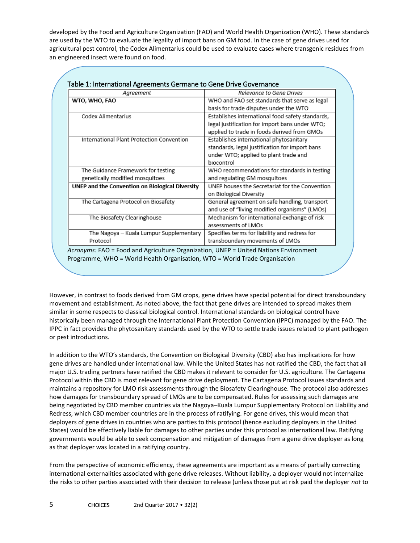developed by the Food and Agriculture Organization (FAO) and World Health Organization (WHO). These standards are used by the WTO to evaluate the legality of import bans on GM food. In the case of gene drives used for agricultural pest control, the Codex Alimentarius could be used to evaluate cases where transgenic residues from an engineered insect were found on food.

| WHO and FAO set standards that serve as legal<br>basis for trade disputes under the WTO<br>Establishes international food safety standards,<br>legal justification for import bans under WTO;<br>applied to trade in foods derived from GMOs<br>Establishes international phytosanitary<br>standards, legal justification for import bans<br>under WTO; applied to plant trade and<br>biocontrol<br>WHO recommendations for standards in testing |
|--------------------------------------------------------------------------------------------------------------------------------------------------------------------------------------------------------------------------------------------------------------------------------------------------------------------------------------------------------------------------------------------------------------------------------------------------|
|                                                                                                                                                                                                                                                                                                                                                                                                                                                  |
|                                                                                                                                                                                                                                                                                                                                                                                                                                                  |
|                                                                                                                                                                                                                                                                                                                                                                                                                                                  |
|                                                                                                                                                                                                                                                                                                                                                                                                                                                  |
|                                                                                                                                                                                                                                                                                                                                                                                                                                                  |
|                                                                                                                                                                                                                                                                                                                                                                                                                                                  |
|                                                                                                                                                                                                                                                                                                                                                                                                                                                  |
|                                                                                                                                                                                                                                                                                                                                                                                                                                                  |
|                                                                                                                                                                                                                                                                                                                                                                                                                                                  |
|                                                                                                                                                                                                                                                                                                                                                                                                                                                  |
| and regulating GM mosquitoes                                                                                                                                                                                                                                                                                                                                                                                                                     |
| UNEP houses the Secretariat for the Convention                                                                                                                                                                                                                                                                                                                                                                                                   |
| on Biological Diversity                                                                                                                                                                                                                                                                                                                                                                                                                          |
| General agreement on safe handling, transport                                                                                                                                                                                                                                                                                                                                                                                                    |
| and use of "living modified organisms" (LMOs)                                                                                                                                                                                                                                                                                                                                                                                                    |
| Mechanism for international exchange of risk                                                                                                                                                                                                                                                                                                                                                                                                     |
| assessments of LMOs                                                                                                                                                                                                                                                                                                                                                                                                                              |
| Specifies terms for liability and redress for                                                                                                                                                                                                                                                                                                                                                                                                    |
| transboundary movements of LMOs                                                                                                                                                                                                                                                                                                                                                                                                                  |
|                                                                                                                                                                                                                                                                                                                                                                                                                                                  |

#### Table 1: International Agreements Germane to Gene Drive Governance

However, in contrast to foods derived from GM crops, gene drives have special potential for direct transboundary movement and establishment. As noted above, the fact that gene drives are intended to spread makes them similar in some respects to classical biological control. International standards on biological control have historically been managed through the International Plant Protection Convention (IPPC) managed by the FAO. The IPPC in fact provides the phytosanitary standards used by the WTO to settle trade issues related to plant pathogen or pest introductions.

In addition to the WTO's standards, the Convention on Biological Diversity (CBD) also has implications for how gene drives are handled under international law. While the United States has not ratified the CBD, the fact that all major U.S. trading partners have ratified the CBD makes it relevant to consider for U.S. agriculture. The Cartagena Protocol within the CBD is most relevant for gene drive deployment. The Cartagena Protocol issues standards and maintains a repository for LMO risk assessments through the Biosafety Clearinghouse. The protocol also addresses how damages for transboundary spread of LMOs are to be compensated. Rules for assessing such damages are being negotiated by CBD member countries via the Nagoya–Kuala Lumpur Supplementary Protocol on Liability and Redress, which CBD member countries are in the process of ratifying. For gene drives, this would mean that deployers of gene drives in countries who are parties to this protocol (hence excluding deployers in the United States) would be effectively liable for damages to other parties under this protocol as international law. Ratifying governments would be able to seek compensation and mitigation of damages from a gene drive deployer as long as that deployer was located in a ratifying country.

From the perspective of economic efficiency, these agreements are important as a means of partially correcting international externalities associated with gene drive releases. Without liability, a deployer would not internalize the risks to other parties associated with their decision to release (unless those put at risk paid the deployer *not* to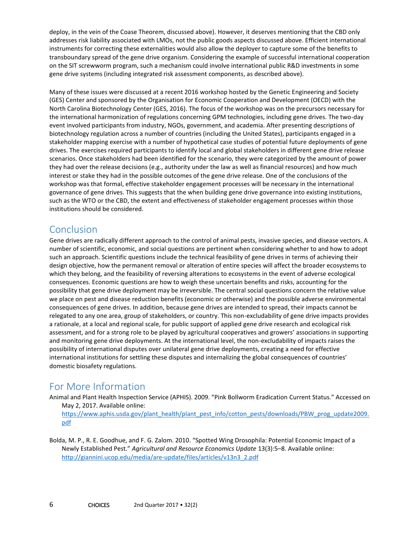deploy, in the vein of the Coase Theorem, discussed above). However, it deserves mentioning that the CBD only addresses risk liability associated with LMOs, not the public goods aspects discussed above. Efficient international instruments for correcting these externalities would also allow the deployer to capture some of the benefits to transboundary spread of the gene drive organism. Considering the example of successful international cooperation on the SIT screwworm program, such a mechanism could involve international public R&D investments in some gene drive systems (including integrated risk assessment components, as described above).

Many of these issues were discussed at a recent 2016 workshop hosted by the Genetic Engineering and Society (GES) Center and sponsored by the Organisation for Economic Cooperation and Development (OECD) with the North Carolina Biotechnology Center (GES, 2016). The focus of the workshop was on the precursors necessary for the international harmonization of regulations concerning GPM technologies, including gene drives. The two-day event involved participants from industry, NGOs, government, and academia. After presenting descriptions of biotechnology regulation across a number of countries (including the United States), participants engaged in a stakeholder mapping exercise with a number of hypothetical case studies of potential future deployments of gene drives. The exercises required participants to identify local and global stakeholders in different gene drive release scenarios. Once stakeholders had been identified for the scenario, they were categorized by the amount of power they had over the release decisions (e.g., authority under the law as well as financial resources) and how much interest or stake they had in the possible outcomes of the gene drive release. One of the conclusions of the workshop was that formal, effective stakeholder engagement processes will be necessary in the international governance of gene drives. This suggests that the when building gene drive governance into existing institutions, such as the WTO or the CBD, the extent and effectiveness of stakeholder engagement processes within those institutions should be considered.

### Conclusion

Gene drives are radically different approach to the control of animal pests, invasive species, and disease vectors. A number of scientific, economic, and social questions are pertinent when considering whether to and how to adopt such an approach. Scientific questions include the technical feasibility of gene drives in terms of achieving their design objective, how the permanent removal or alteration of entire species will affect the broader ecosystems to which they belong, and the feasibility of reversing alterations to ecosystems in the event of adverse ecological consequences. Economic questions are how to weigh these uncertain benefits and risks, accounting for the possibility that gene drive deployment may be irreversible. The central social questions concern the relative value we place on pest and disease reduction benefits (economic or otherwise) and the possible adverse environmental consequences of gene drives. In addition, because gene drives are intended to spread, their impacts cannot be relegated to any one area, group of stakeholders, or country. This non-excludability of gene drive impacts provides a rationale, at a local and regional scale, for public support of applied gene drive research and ecological risk assessment, and for a strong role to be played by agricultural cooperatives and growers' associations in supporting and monitoring gene drive deployments. At the international level, the non-excludability of impacts raises the possibility of international disputes over unilateral gene drive deployments, creating a need for effective international institutions for settling these disputes and internalizing the global consequences of countries' domestic biosafety regulations.

## For More Information

Animal and Plant Health Inspection Service (APHIS). 2009. "Pink Bollworm Eradication Current Status." Accessed on May 2, 2017. Available online:

[https://www.aphis.usda.gov/plant\\_health/plant\\_pest\\_info/cotton\\_pests/downloads/PBW\\_prog\\_update2009.](https://www.aphis.usda.gov/plant_health/plant_pest_info/cotton_pests/downloads/PBW_prog_update2009.pdf) [pdf](https://www.aphis.usda.gov/plant_health/plant_pest_info/cotton_pests/downloads/PBW_prog_update2009.pdf)

Bolda, M. P., R. E. Goodhue, and F. G. Zalom. 2010. "Spotted Wing Drosophila: Potential Economic Impact of a Newly Established Pest." *Agricultural and Resource Economics Update* 13(3):5–8. Available online: [http://giannini.ucop.edu/media/are-update/files/articles/v13n3\\_2.pdf](http://giannini.ucop.edu/media/are-update/files/articles/v13n3_2.pdf)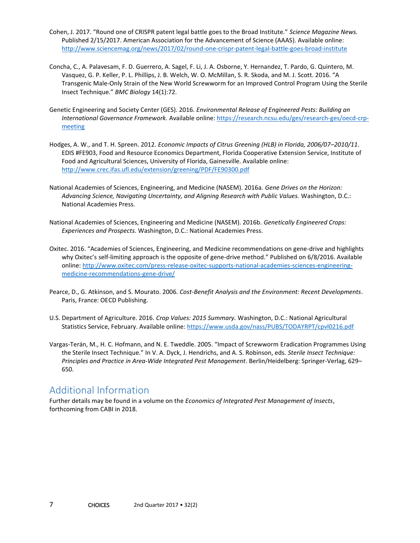- Cohen, J. 2017. "Round one of CRISPR patent legal battle goes to the Broad Institute." *Science Magazine News.*  Published 2/15/2017. American Association for the Advancement of Science (AAAS). Available online: <http://www.sciencemag.org/news/2017/02/round-one-crispr-patent-legal-battle-goes-broad-institute>
- Concha, C., A. Palavesam, F. D. Guerrero, A. Sagel, F. Li, J. A. Osborne, Y. Hernandez, T. Pardo, G. Quintero, M. Vasquez, G. P. Keller, P. L. Phillips, J. B. Welch, W. O. McMillan, S. R. Skoda, and M. J. Scott. 2016. "A Transgenic Male-Only Strain of the New World Screwworm for an Improved Control Program Using the Sterile Insect Technique." *BMC Biology* 14(1):72.
- Genetic Engineering and Society Center (GES). 2016. *Environmental Release of Engineered Pests: Building an International Governance Framework.* Available online: [https://research.ncsu.edu/ges/research-ges/oecd-crp](https://research.ncsu.edu/ges/research-ges/oecd-crp-meeting/)[meeting](https://research.ncsu.edu/ges/research-ges/oecd-crp-meeting/)
- Hodges, A. W., and T. H. Spreen. 2012. *Economic Impacts of Citrus Greening (HLB) in Florida, 2006/07–2010/11*. EDIS #FE903, Food and Resource Economics Department, Florida Cooperative Extension Service, Institute of Food and Agricultural Sciences, University of Florida, Gainesville. Available online: <http://www.crec.ifas.ufl.edu/extension/greening/PDF/FE90300.pdf>
- National Academies of Sciences, Engineering, and Medicine (NASEM). 2016a. *Gene Drives on the Horizon: Advancing Science, Navigating Uncertainty, and Aligning Research with Public Values.* Washington, D.C.: National Academies Press.
- National Academies of Sciences, Engineering and Medicine (NASEM). 2016b. *Genetically Engineered Crops: Experiences and Prospects.* Washington, D.C.: National Academies Press.
- Oxitec. 2016. "Academies of Sciences, Engineering, and Medicine recommendations on gene-drive and highlights why Oxitec's self-limiting approach is the opposite of gene-drive method." Published on 6/8/2016. Available online[: http://www.oxitec.com/press-release-oxitec-supports-national-academies-sciences-engineering](http://www.oxitec.com/press-release-oxitec-supports-national-academies-sciences-engineering-medicine-recommendations-gene-drive/)[medicine-recommendations-gene-drive/](http://www.oxitec.com/press-release-oxitec-supports-national-academies-sciences-engineering-medicine-recommendations-gene-drive/)
- Pearce, D., G. Atkinson, and S. Mourato. 2006. *Cost-Benefit Analysis and the Environment: Recent Developments*. Paris, France: OECD Publishing.
- U.S. Department of Agriculture. 2016. *Crop Values: 2015 Summary.* Washington, D.C.: National Agricultural Statistics Service, February. Available online:<https://www.usda.gov/nass/PUBS/TODAYRPT/cpvl0216.pdf>
- Vargas-Terán, M., H. C. Hofmann, and N. E. Tweddle. 2005. "Impact of Screwworm Eradication Programmes Using the Sterile Insect Technique." In V. A. Dyck, J. Hendrichs, and A. S. Robinson, eds. *Sterile Insect Technique: Principles and Practice in Area-Wide Integrated Pest Management*. Berlin/Heidelberg: Springer-Verlag, 629– 650.

## Additional Information

Further details may be found in a volume on the *Economics of Integrated Pest Management of Insects*, forthcoming from CABI in 2018.